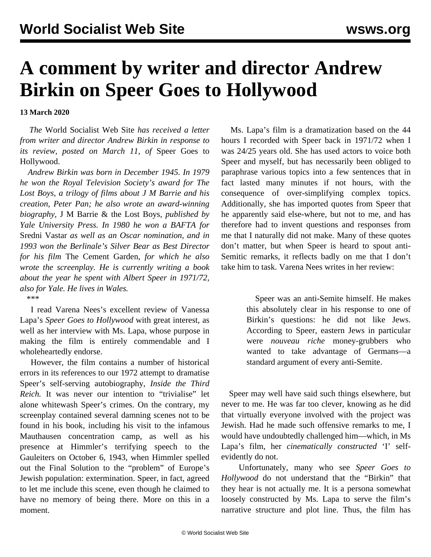## **A comment by writer and director Andrew Birkin on Speer Goes to Hollywood**

**13 March 2020**

 *The* World Socialist Web Site *has received a letter from writer and director Andrew Birkin in response to its review, posted on March 11, of* [Speer Goes to](/en/articles/2020/03/11/berl-m11.html) [Hollywood](/en/articles/2020/03/11/berl-m11.html).

 *Andrew Birkin was born in December 1945. In 1979 he won the Royal Television Society's award for The Lost Boys, a trilogy of films about J M Barrie and his creation, Peter Pan; he also wrote an award-winning biography,* J M Barrie & the Lost Boys*, published by Yale University Press. In 1980 he won a BAFTA for* Sredni Vastar *as well as an Oscar nomination, and in 1993 won the Berlinale's Silver Bear as Best Director for his film* The Cement Garden*, for which he also wrote the screenplay. He is currently writing a book about the year he spent with Albert Speer in 1971/72, also for Yale. He lives in Wales. \*\*\**

 I read Varena Nees's excellent review of Vanessa Lapa's *Speer Goes to Hollywood* with great interest, as well as her interview with Ms. Lapa, whose purpose in making the film is entirely commendable and I wholeheartedly endorse.

 However, the film contains a number of historical errors in its references to our 1972 attempt to dramatise Speer's self-serving autobiography, *Inside the Third Reich.* It was never our intention to "trivialise" let alone whitewash Speer's crimes. On the contrary, my screenplay contained several damning scenes not to be found in his book, including his visit to the infamous Mauthausen concentration camp, as well as his presence at Himmler's terrifying speech to the Gauleiters on October 6, 1943, when Himmler spelled out the Final Solution to the "problem" of Europe's Jewish population: extermination. Speer, in fact, agreed to let me include this scene, even though he claimed to have no memory of being there. More on this in a moment.

 Ms. Lapa's film is a dramatization based on the 44 hours I recorded with Speer back in 1971/72 when I was 24/25 years old. She has used actors to voice both Speer and myself, but has necessarily been obliged to paraphrase various topics into a few sentences that in fact lasted many minutes if not hours, with the consequence of over-simplifying complex topics. Additionally, she has imported quotes from Speer that he apparently said else-where, but not to me, and has therefore had to invent questions and responses from me that I naturally did not make. Many of these quotes don't matter, but when Speer is heard to spout anti-Semitic remarks, it reflects badly on me that I don't take him to task. Varena Nees writes in her review:

> Speer was an anti-Semite himself. He makes this absolutely clear in his response to one of Birkin's questions: he did not like Jews. According to Speer, eastern Jews in particular were *nouveau riche* money-grubbers who wanted to take advantage of Germans—a standard argument of every anti-Semite.

 Speer may well have said such things elsewhere, but never to me. He was far too clever, knowing as he did that virtually everyone involved with the project was Jewish. Had he made such offensive remarks to me, I would have undoubtedly challenged him—which, in Ms Lapa's film, her *cinematically constructed* 'I' selfevidently do not.

 Unfortunately, many who see *Speer Goes to Hollywood* do not understand that the "Birkin" that they hear is not actually me. It is a persona somewhat loosely constructed by Ms. Lapa to serve the film's narrative structure and plot line. Thus, the film has